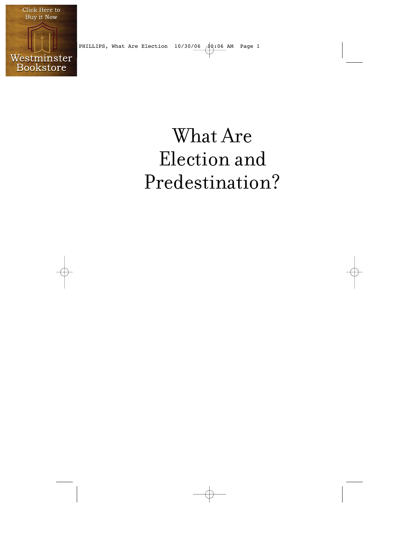

PHILLIPS, What Are Election  $10/30/\underline{06}$   $\bigoplus$  0.06 AM Page 1

## What Are Election and Predestination?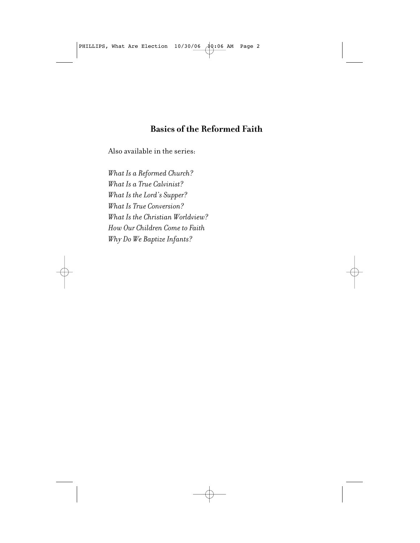PHILLIPS, What Are Election  $10/30/06$   $10:06$  AM Page 2

## **Basics of the Reformed Faith**

Also available in the series:

*What Is a Reformed Church? What Is a True Calvinist? What Is the Lord's Supper? What Is True Conversion? What Is the Christian Worldview? How Our Children Come to Faith Why Do We Baptize Infants?*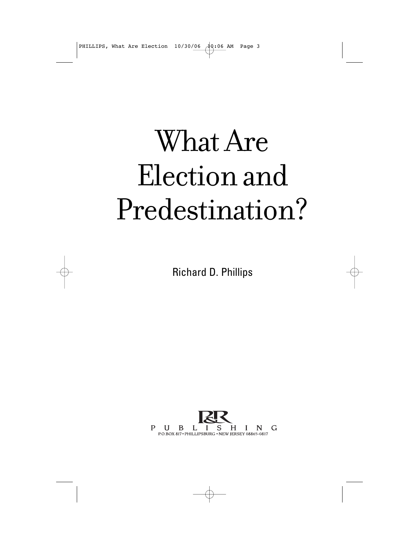PHILLIPS, What Are Election  $10/30/\underline{06}$   $\bigoplus$  0.06 AM Page 3

# What Are Election and Predestination?

Richard D. Phillips

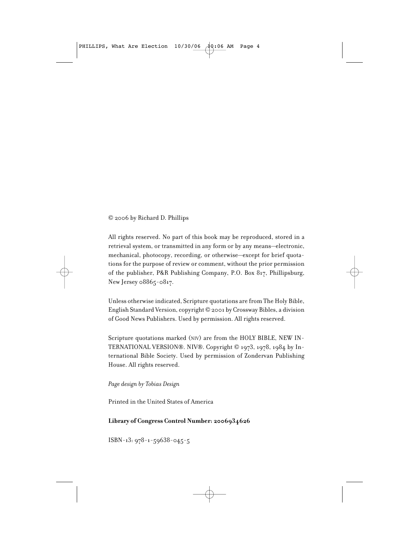PHILLIPS, What Are Election  $10/30/\underline{06}$   $\bigoplus$  (106 AM Page 4

#### © 2006 by Richard D. Phillips

All rights reserved. No part of this book may be reproduced, stored in a retrieval system, or transmitted in any form or by any means—electronic, mechanical, photocopy, recording, or otherwise—except for brief quotations for the purpose of review or comment, without the prior permission of the publisher, P&R Publishing Company, P.O. Box 817, Phillipsburg, New Jersey 08865-0817.

Unless otherwise indicated, Scripture quotations are from The Holy Bible, English Standard Version, copyright © 2001 by Crossway Bibles, a division of Good News Publishers. Used by permission. All rights reserved.

Scripture quotations marked (NIV) are from the HOLY BIBLE, NEW IN-TERNATIONAL VERSION®. NIV®. Copyright © 1973, 1978, 1984 by International Bible Society. Used by permission of Zondervan Publishing House. All rights reserved.

*Page design by Tobias Design*

Printed in the United States of America

#### **Library of Congress Control Number: 2006934626**

ISBN-13: 978-1-59638-045-5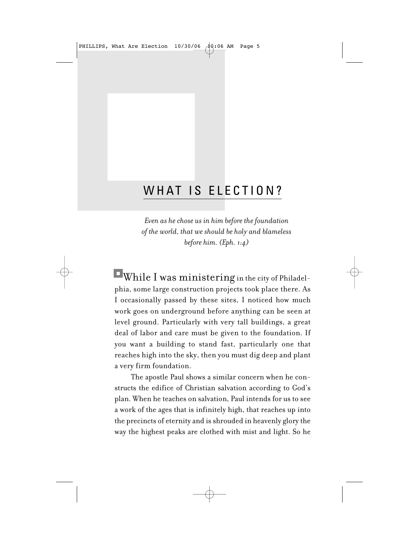PHILLIPS, What Are Election  $10/30/\underline{06}$   $\overrightarrow{49:06}$  AM Page 5

## WHAT IS ELECTION?

*Even as he chose us in him before the foundation of the world, that we should be holy and blameless before him. (Eph. 1:4)*

While I was ministering in the city of Philadelphia, some large construction projects took place there. As I occasionally passed by these sites, I noticed how much work goes on underground before anything can be seen at level ground. Particularly with very tall buildings, a great deal of labor and care must be given to the foundation. If you want a building to stand fast, particularly one that reaches high into the sky, then you must dig deep and plant a very firm foundation.

The apostle Paul shows a similar concern when he constructs the edifice of Christian salvation according to God's plan. When he teaches on salvation, Paul intends for us to see a work of the ages that is infinitely high, that reaches up into the precincts of eternity and is shrouded in heavenly glory the way the highest peaks are clothed with mist and light. So he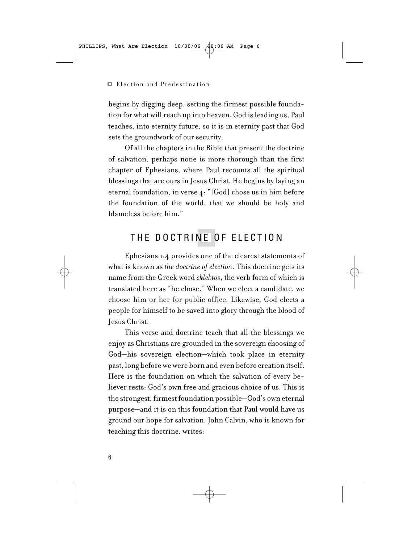#### Election and Predestination

begins by digging deep, setting the firmest possible foundation for what will reach up into heaven. God is leading us, Paul teaches, into eternity future, so it is in eternity past that God sets the groundwork of our security.

Of all the chapters in the Bible that present the doctrine of salvation, perhaps none is more thorough than the first chapter of Ephesians, where Paul recounts all the spiritual blessings that are ours in Jesus Christ. He begins by laying an eternal foundation, in verse 4: "[God] chose us in him before the foundation of the world, that we should be holy and blameless before him."

## THE DOCTRINE OF ELECTION

Ephesians 1:4 provides one of the clearest statements of what is known as *the doctrine of election*. This doctrine gets its name from the Greek word *eklektos*, the verb form of which is translated here as "he chose." When we elect a candidate, we choose him or her for public office. Likewise, God elects a people for himself to be saved into glory through the blood of Jesus Christ.

This verse and doctrine teach that all the blessings we enjoy as Christians are grounded in the sovereign choosing of God—his sovereign election—which took place in eternity past, long before we were born and even before creation itself. Here is the foundation on which the salvation of every believer rests: God's own free and gracious choice of us. This is the strongest, firmest foundation possible—God's own eternal purpose—and it is on this foundation that Paul would have us ground our hope for salvation. John Calvin, who is known for teaching this doctrine, writes: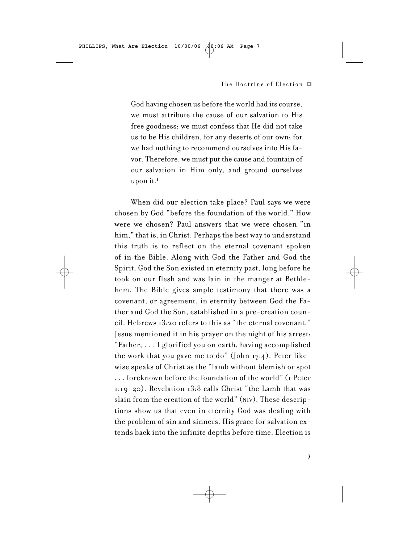### The Doctrine of Election  $\blacksquare$

God having chosen us before the world had its course, we must attribute the cause of our salvation to His free goodness; we must confess that He did not take us to be His children, for any deserts of our own; for we had nothing to recommend ourselves into His favor. Therefore, we must put the cause and fountain of our salvation in Him only, and ground ourselves upon it.<sup>1</sup>

When did our election take place? Paul says we were chosen by God "before the foundation of the world." How were we chosen? Paul answers that we were chosen "in him," that is, in Christ. Perhaps the best way to understand this truth is to reflect on the eternal covenant spoken of in the Bible. Along with God the Father and God the Spirit, God the Son existed in eternity past, long before he took on our flesh and was lain in the manger at Bethlehem. The Bible gives ample testimony that there was a covenant, or agreement, in eternity between God the Father and God the Son, established in a pre-creation council. Hebrews 13:20 refers to this as "the eternal covenant." Jesus mentioned it in his prayer on the night of his arrest: "Father, . . . I glorified you on earth, having accomplished the work that you gave me to do" (John 17:4). Peter likewise speaks of Christ as the "lamb without blemish or spot . . . foreknown before the foundation of the world" (1 Peter 1:19–20). Revelation 13:8 calls Christ "the Lamb that was slain from the creation of the world" (NIV). These descriptions show us that even in eternity God was dealing with the problem of sin and sinners. His grace for salvation extends back into the infinite depths before time. Election is